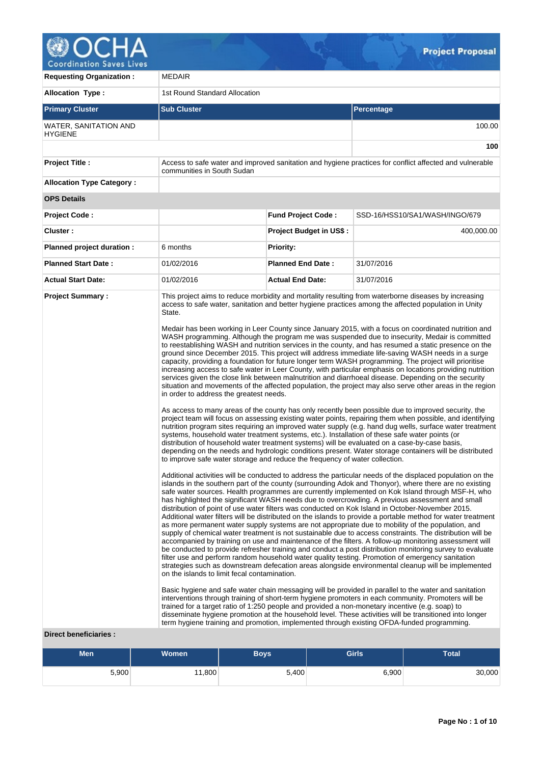

**Requesting Organization :** MEDAIR Allocation Type :  $\vert$  1st Round Standard Allocation **Primary Cluster Sub Cluster Sub Cluster** Sub Cluster Sub Cluster Sub Cluster Sub Cluster Sub Cluster Sub Cluster WATER, SANITATION AND **HYGIENE** 100.00 **100 Project Title :** Access to safe water and improved sanitation and hygiene practices for conflict affected and vulnerable communities in South Sudan **Allocation Type Category : OPS Details Project Code : Fund Project Code :** SSD-16/HSS10/SA1/WASH/INGO/679 **Cluster : Project Budget in US\$ :** 400,000.00 **Planned project duration :** 6 months **Priority: Planned Start Date :** 01/02/2016 **Planned End Date :** 31/07/2016 **Actual Start Date:** 01/02/2016 **Actual End Date:** 31/07/2016 **Project Summary :** This project aims to reduce morbidity and mortality resulting from waterborne diseases by increasing access to safe water, sanitation and better hygiene practices among the affected population in Unity State. Medair has been working in Leer County since January 2015, with a focus on coordinated nutrition and WASH programming. Although the program me was suspended due to insecurity, Medair is committed to reestablishing WASH and nutrition services in the county, and has resumed a static presence on the ground since December 2015. This project will address immediate life-saving WASH needs in a surge capacity, providing a foundation for future longer term WASH programming. The project will prioritise increasing access to safe water in Leer County, with particular emphasis on locations providing nutrition services given the close link between malnutrition and diarrhoeal disease. Depending on the security situation and movements of the affected population, the project may also serve other areas in the region in order to address the greatest needs. As access to many areas of the county has only recently been possible due to improved security, the project team will focus on assessing existing water points, repairing them when possible, and identifying nutrition program sites requiring an improved water supply (e.g. hand dug wells, surface water treatment systems, household water treatment systems, etc.). Installation of these safe water points (or distribution of household water treatment systems) will be evaluated on a case-by-case basis, depending on the needs and hydrologic conditions present. Water storage containers will be distributed to improve safe water storage and reduce the frequency of water collection. Additional activities will be conducted to address the particular needs of the displaced population on the islands in the southern part of the county (surrounding Adok and Thonyor), where there are no existing safe water sources. Health programmes are currently implemented on Kok Island through MSF-H, who has highlighted the significant WASH needs due to overcrowding. A previous assessment and small distribution of point of use water filters was conducted on Kok Island in October-November 2015. Additional water filters will be distributed on the islands to provide a portable method for water treatment as more permanent water supply systems are not appropriate due to mobility of the population, and supply of chemical water treatment is not sustainable due to access constraints. The distribution will be accompanied by training on use and maintenance of the filters. A follow-up monitoring assessment will be conducted to provide refresher training and conduct a post distribution monitoring survey to evaluate filter use and perform random household water quality testing. Promotion of emergency sanitation strategies such as downstream defecation areas alongside environmental cleanup will be implemented on the islands to limit fecal contamination. Basic hygiene and safe water chain messaging will be provided in parallel to the water and sanitation interventions through training of short-term hygiene promoters in each community. Promoters will be trained for a target ratio of 1:250 people and provided a non-monetary incentive (e.g. soap) to disseminate hygiene promotion at the household level. These activities will be transitioned into longer term hygiene training and promotion, implemented through existing OFDA-funded programming.

# **Direct beneficiaries :**

| <b>Men</b> | Women <sup>'</sup> | <b>Boys</b> | <b>Girls</b> | <b>Total</b> |
|------------|--------------------|-------------|--------------|--------------|
| 5,900      | 11,800             | 5,400       | 6,900        | 30,000       |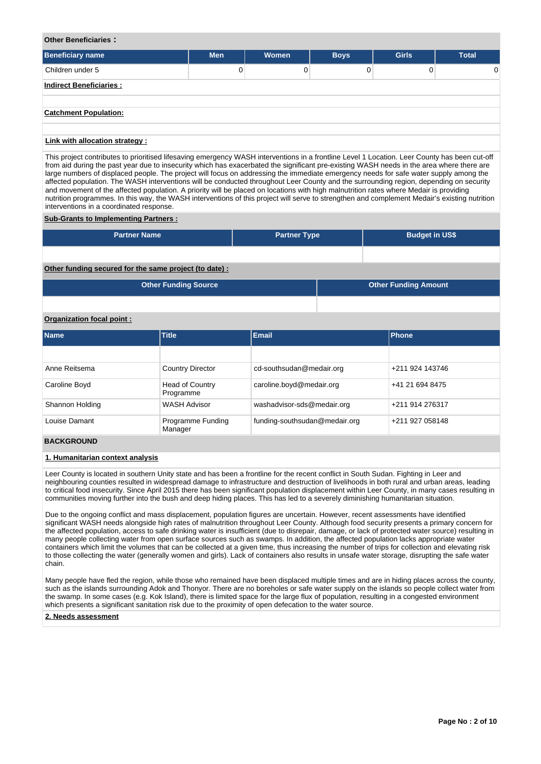## **Other Beneficiaries :**

| <b>Beneficiary name</b>          | <b>Men</b> | Women | <b>Boys</b> | <b>Girls</b> | <b>Total</b> |
|----------------------------------|------------|-------|-------------|--------------|--------------|
| Children under 5                 | 0          | n     | 0           | 0            | $\Omega$     |
| <b>Indirect Beneficiaries:</b>   |            |       |             |              |              |
| <b>Catchment Population:</b>     |            |       |             |              |              |
| il talendik allanattan atoatan d |            |       |             |              |              |

#### **Link with allocation strategy :**

This project contributes to prioritised lifesaving emergency WASH interventions in a frontline Level 1 Location. Leer County has been cut-off from aid during the past year due to insecurity which has exacerbated the significant pre-existing WASH needs in the area where there are large numbers of displaced people. The project will focus on addressing the immediate emergency needs for safe water supply among the affected population. The WASH interventions will be conducted throughout Leer County and the surrounding region, depending on security and movement of the affected population. A priority will be placed on locations with high malnutrition rates where Medair is providing nutrition programmes. In this way, the WASH interventions of this project will serve to strengthen and complement Medair's existing nutrition interventions in a coordinated response.

#### **Sub-Grants to Implementing Partners :**

| <b>Partner Name</b>                                   | <b>Partner Type</b> | <b>Budget in US\$</b>       |  |  |  |  |
|-------------------------------------------------------|---------------------|-----------------------------|--|--|--|--|
|                                                       |                     |                             |  |  |  |  |
| Other funding secured for the same project (to date): |                     |                             |  |  |  |  |
| <b>Other Funding Source</b>                           |                     | <b>Other Funding Amount</b> |  |  |  |  |
|                                                       |                     |                             |  |  |  |  |

# **Organization focal point :**

| <b>Name</b>     | Title                               | <b>Email</b>                  | <b>Phone</b>    |
|-----------------|-------------------------------------|-------------------------------|-----------------|
|                 |                                     |                               |                 |
| Anne Reitsema   | <b>Country Director</b>             | cd-southsudan@medair.org      | +211 924 143746 |
| Caroline Boyd   | <b>Head of Country</b><br>Programme | caroline.boyd@medair.org      | +41 21 694 8475 |
| Shannon Holding | <b>WASH Advisor</b>                 | washadvisor-sds@medair.org    | +211 914 276317 |
| Louise Damant   | Programme Funding<br>Manager        | funding-southsudan@medair.org | +211 927 058148 |

# **BACKGROUND**

#### **1. Humanitarian context analysis**

Leer County is located in southern Unity state and has been a frontline for the recent conflict in South Sudan. Fighting in Leer and neighbouring counties resulted in widespread damage to infrastructure and destruction of livelihoods in both rural and urban areas, leading to critical food insecurity. Since April 2015 there has been significant population displacement within Leer County, in many cases resulting in communities moving further into the bush and deep hiding places. This has led to a severely diminishing humanitarian situation.

Due to the ongoing conflict and mass displacement, population figures are uncertain. However, recent assessments have identified significant WASH needs alongside high rates of malnutrition throughout Leer County. Although food security presents a primary concern for the affected population, access to safe drinking water is insufficient (due to disrepair, damage, or lack of protected water source) resulting in many people collecting water from open surface sources such as swamps. In addition, the affected population lacks appropriate water containers which limit the volumes that can be collected at a given time, thus increasing the number of trips for collection and elevating risk to those collecting the water (generally women and girls). Lack of containers also results in unsafe water storage, disrupting the safe water chain.

Many people have fled the region, while those who remained have been displaced multiple times and are in hiding places across the county, such as the islands surrounding Adok and Thonyor. There are no boreholes or safe water supply on the islands so people collect water from the swamp. In some cases (e.g. Kok Island), there is limited space for the large flux of population, resulting in a congested environment which presents a significant sanitation risk due to the proximity of open defecation to the water source.

#### **2. Needs assessment**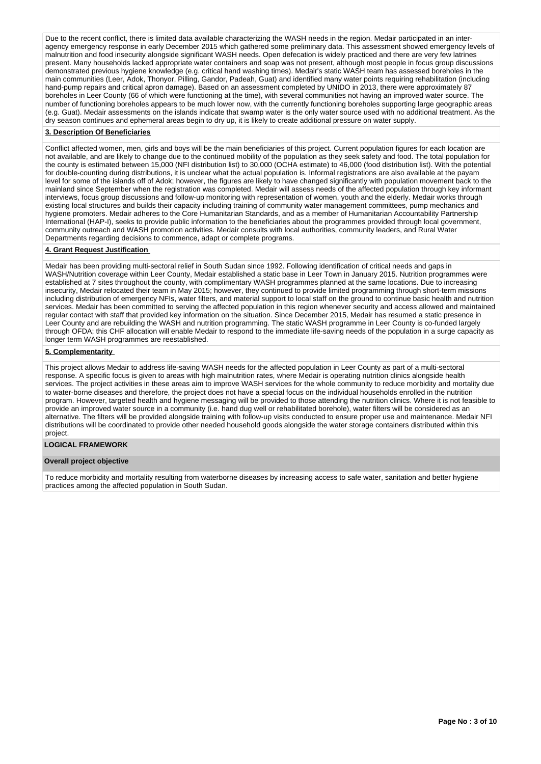Due to the recent conflict, there is limited data available characterizing the WASH needs in the region. Medair participated in an interagency emergency response in early December 2015 which gathered some preliminary data. This assessment showed emergency levels of malnutrition and food insecurity alongside significant WASH needs. Open defecation is widely practiced and there are very few latrines present. Many households lacked appropriate water containers and soap was not present, although most people in focus group discussions demonstrated previous hygiene knowledge (e.g. critical hand washing times). Medair's static WASH team has assessed boreholes in the main communities (Leer, Adok, Thonyor, Pilling, Gandor, Padeah, Guat) and identified many water points requiring rehabilitation (including hand-pump repairs and critical apron damage). Based on an assessment completed by UNIDO in 2013, there were approximately 87 boreholes in Leer County (66 of which were functioning at the time), with several communities not having an improved water source. The number of functioning boreholes appears to be much lower now, with the currently functioning boreholes supporting large geographic areas (e.g. Guat). Medair assessments on the islands indicate that swamp water is the only water source used with no additional treatment. As the dry season continues and ephemeral areas begin to dry up, it is likely to create additional pressure on water supply.

## **3. Description Of Beneficiaries**

Conflict affected women, men, girls and boys will be the main beneficiaries of this project. Current population figures for each location are not available, and are likely to change due to the continued mobility of the population as they seek safety and food. The total population for the county is estimated between 15,000 (NFI distribution list) to 30,000 (OCHA estimate) to 46,000 (food distribution list). With the potential for double-counting during distributions, it is unclear what the actual population is. Informal registrations are also available at the payam level for some of the islands off of Adok; however, the figures are likely to have changed significantly with population movement back to the mainland since September when the registration was completed. Medair will assess needs of the affected population through key informant interviews, focus group discussions and follow-up monitoring with representation of women, youth and the elderly. Medair works through existing local structures and builds their capacity including training of community water management committees, pump mechanics and hygiene promoters. Medair adheres to the Core Humanitarian Standards, and as a member of Humanitarian Accountability Partnership International (HAP-I), seeks to provide public information to the beneficiaries about the programmes provided through local government, community outreach and WASH promotion activities. Medair consults with local authorities, community leaders, and Rural Water Departments regarding decisions to commence, adapt or complete programs.

### **4. Grant Request Justification**

Medair has been providing multi-sectoral relief in South Sudan since 1992. Following identification of critical needs and gaps in WASH/Nutrition coverage within Leer County, Medair established a static base in Leer Town in January 2015. Nutrition programmes were established at 7 sites throughout the county, with complimentary WASH programmes planned at the same locations. Due to increasing insecurity, Medair relocated their team in May 2015; however, they continued to provide limited programming through short-term missions including distribution of emergency NFIs, water filters, and material support to local staff on the ground to continue basic health and nutrition services. Medair has been committed to serving the affected population in this region whenever security and access allowed and maintained regular contact with staff that provided key information on the situation. Since December 2015, Medair has resumed a static presence in Leer County and are rebuilding the WASH and nutrition programming. The static WASH programme in Leer County is co-funded largely through OFDA; this CHF allocation will enable Medair to respond to the immediate life-saving needs of the population in a surge capacity as longer term WASH programmes are reestablished.

#### **5. Complementarity**

This project allows Medair to address life-saving WASH needs for the affected population in Leer County as part of a multi-sectoral response. A specific focus is given to areas with high malnutrition rates, where Medair is operating nutrition clinics alongside health services. The project activities in these areas aim to improve WASH services for the whole community to reduce morbidity and mortality due to water-borne diseases and therefore, the project does not have a special focus on the individual households enrolled in the nutrition program. However, targeted health and hygiene messaging will be provided to those attending the nutrition clinics. Where it is not feasible to provide an improved water source in a community (i.e. hand dug well or rehabilitated borehole), water filters will be considered as an alternative. The filters will be provided alongside training with follow-up visits conducted to ensure proper use and maintenance. Medair NFI distributions will be coordinated to provide other needed household goods alongside the water storage containers distributed within this project.

#### **LOGICAL FRAMEWORK**

## **Overall project objective**

To reduce morbidity and mortality resulting from waterborne diseases by increasing access to safe water, sanitation and better hygiene practices among the affected population in South Sudan.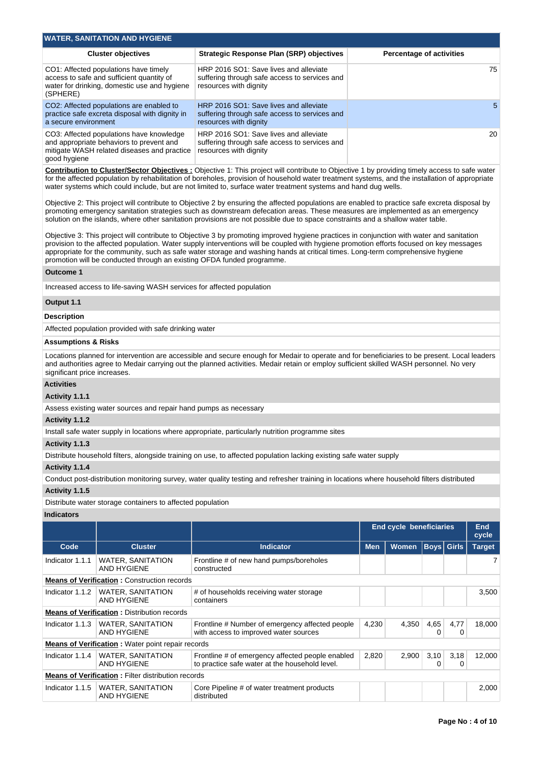| <b>WATER, SANITATION AND HYGIENE</b>                                                                                                                |                                                                                                                   |                                 |  |  |  |  |  |  |
|-----------------------------------------------------------------------------------------------------------------------------------------------------|-------------------------------------------------------------------------------------------------------------------|---------------------------------|--|--|--|--|--|--|
| <b>Cluster objectives</b>                                                                                                                           | <b>Strategic Response Plan (SRP) objectives</b>                                                                   | <b>Percentage of activities</b> |  |  |  |  |  |  |
| CO1: Affected populations have timely<br>access to safe and sufficient quantity of<br>water for drinking, domestic use and hygiene<br>(SPHERE)      | HRP 2016 SO1: Save lives and alleviate<br>suffering through safe access to services and<br>resources with dignity | 75                              |  |  |  |  |  |  |
| CO2: Affected populations are enabled to<br>practice safe excreta disposal with dignity in<br>a secure environment                                  | HRP 2016 SO1: Save lives and alleviate<br>suffering through safe access to services and<br>resources with dignity | 5                               |  |  |  |  |  |  |
| CO3: Affected populations have knowledge<br>and appropriate behaviors to prevent and<br>mitigate WASH related diseases and practice<br>good hygiene | HRP 2016 SO1: Save lives and alleviate<br>suffering through safe access to services and<br>resources with dignity | 20                              |  |  |  |  |  |  |

**Contribution to Cluster/Sector Objectives :** Objective 1: This project will contribute to Objective 1 by providing timely access to safe water for the affected population by rehabilitation of boreholes, provision of household water treatment systems, and the installation of appropriate water systems which could include, but are not limited to, surface water treatment systems and hand dug wells.

Objective 2: This project will contribute to Objective 2 by ensuring the affected populations are enabled to practice safe excreta disposal by promoting emergency sanitation strategies such as downstream defecation areas. These measures are implemented as an emergency solution on the islands, where other sanitation provisions are not possible due to space constraints and a shallow water table.

Objective 3: This project will contribute to Objective 3 by promoting improved hygiene practices in conjunction with water and sanitation provision to the affected population. Water supply interventions will be coupled with hygiene promotion efforts focused on key messages appropriate for the community, such as safe water storage and washing hands at critical times. Long-term comprehensive hygiene promotion will be conducted through an existing OFDA funded programme.

## **Outcome 1**

Increased access to life-saving WASH services for affected population

## **Output 1.1**

#### **Description**

Affected population provided with safe drinking water

# **Assumptions & Risks**

Locations planned for intervention are accessible and secure enough for Medair to operate and for beneficiaries to be present. Local leaders and authorities agree to Medair carrying out the planned activities. Medair retain or employ sufficient skilled WASH personnel. No very significant price increases.

## **Activities**

#### **Activity 1.1.1**

Assess existing water sources and repair hand pumps as necessary

## **Activity 1.1.2**

Install safe water supply in locations where appropriate, particularly nutrition programme sites

# **Activity 1.1.3**

Distribute household filters, alongside training on use, to affected population lacking existing safe water supply

### **Activity 1.1.4**

Conduct post-distribution monitoring survey, water quality testing and refresher training in locations where household filters distributed **Activity 1.1.5** 

Distribute water storage containers to affected population

## **Indicators**

|                                                           |                                                          |                                                                                                    | <b>End cycle beneficiaries</b> |              | End<br>cycle |                   |               |
|-----------------------------------------------------------|----------------------------------------------------------|----------------------------------------------------------------------------------------------------|--------------------------------|--------------|--------------|-------------------|---------------|
| Code                                                      | <b>Cluster</b>                                           | <b>Indicator</b>                                                                                   | <b>Men</b>                     | <b>Women</b> |              | <b>Boys</b> Girls | <b>Target</b> |
| Indicator 1.1.1                                           | <b>WATER, SANITATION</b><br>AND HYGIENE                  | Frontline # of new hand pumps/boreholes<br>constructed                                             |                                |              |              |                   |               |
|                                                           | <b>Means of Verification: Construction records</b>       |                                                                                                    |                                |              |              |                   |               |
| Indicator 1.1.2                                           | <b>WATER, SANITATION</b><br>AND HYGIENE                  | # of households receiving water storage<br>containers                                              |                                |              |              |                   | 3,500         |
|                                                           | <b>Means of Verification: Distribution records</b>       |                                                                                                    |                                |              |              |                   |               |
| Indicator 1.1.3                                           | <b>WATER, SANITATION</b><br>AND HYGIENE                  | Frontline # Number of emergency affected people<br>with access to improved water sources           | 4,230                          | 4,350        | 4,65<br>0    | 4,77<br>0         | 18,000        |
|                                                           | <b>Means of Verification:</b> Water point repair records |                                                                                                    |                                |              |              |                   |               |
| Indicator 1.1.4                                           | <b>WATER, SANITATION</b><br>AND HYGIENE                  | Frontline # of emergency affected people enabled<br>to practice safe water at the household level. | 2,820                          | 2,900        | 3,10         | 3,18<br>0         | 12,000        |
| <b>Means of Verification: Filter distribution records</b> |                                                          |                                                                                                    |                                |              |              |                   |               |
| Indicator 1.1.5                                           | <b>WATER, SANITATION</b><br><b>AND HYGIENE</b>           | Core Pipeline # of water treatment products<br>distributed                                         |                                |              |              |                   | 2,000         |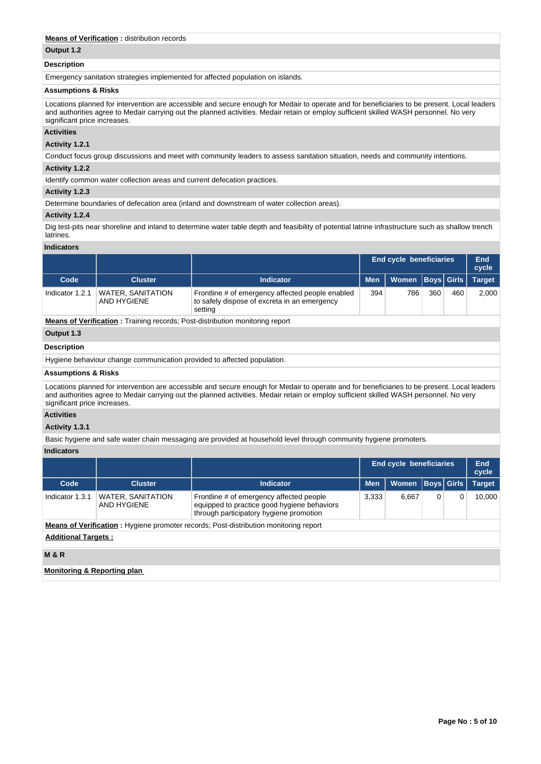# **Means of Verification :** distribution records

## **Output 1.2**

## **Description**

Emergency sanitation strategies implemented for affected population on islands.

# **Assumptions & Risks**

Locations planned for intervention are accessible and secure enough for Medair to operate and for beneficiaries to be present. Local leaders and authorities agree to Medair carrying out the planned activities. Medair retain or employ sufficient skilled WASH personnel. No very significant price increases.

# **Activities**

## **Activity 1.2.1**

Conduct focus group discussions and meet with community leaders to assess sanitation situation, needs and community intentions.

# **Activity 1.2.2**

Identify common water collection areas and current defecation practices.

## **Activity 1.2.3**

Determine boundaries of defecation area (inland and downstream of water collection areas).

#### **Activity 1.2.4**

Dig test-pits near shoreline and inland to determine water table depth and feasibility of potential latrine infrastructure such as shallow trench latrines.

#### **Indicators**

|                    |                                  |                                                                                                             | <b>End cycle beneficiaries</b> |              |     |                   | End<br>cycle  |
|--------------------|----------------------------------|-------------------------------------------------------------------------------------------------------------|--------------------------------|--------------|-----|-------------------|---------------|
| Code               | <b>Cluster</b>                   | <b>Indicator</b>                                                                                            | <b>Men</b>                     | <b>Women</b> |     | <b>Boys</b> Girls | <b>Target</b> |
| Indicator 1.2.1    | WATER, SANITATION<br>AND HYGIENE | Frontline # of emergency affected people enabled<br>to safely dispose of excreta in an emergency<br>setting | 394                            | 786          | 360 | 460               | 2,000         |
|                    |                                  | <b>Means of Verification:</b> Training records; Post-distribution monitoring report                         |                                |              |     |                   |               |
| Output 1.3         |                                  |                                                                                                             |                                |              |     |                   |               |
| <b>Description</b> |                                  |                                                                                                             |                                |              |     |                   |               |

Hygiene behaviour change communication provided to affected population.

#### **Assumptions & Risks**

Locations planned for intervention are accessible and secure enough for Medair to operate and for beneficiaries to be present. Local leaders and authorities agree to Medair carrying out the planned activities. Medair retain or employ sufficient skilled WASH personnel. No very significant price increases.

# **Activities**

## **Activity 1.3.1**

Basic hygiene and safe water chain messaging are provided at household level through community hygiene promoters.

## **Indicators**

|                             |                                         |                                                                                                                                    | <b>End cycle beneficiaries</b> |              |                   |   | End<br>cycle  |
|-----------------------------|-----------------------------------------|------------------------------------------------------------------------------------------------------------------------------------|--------------------------------|--------------|-------------------|---|---------------|
| Code                        | <b>Cluster</b>                          | <b>Indicator</b>                                                                                                                   | <b>Men</b>                     | <b>Women</b> | <b>Boys Girls</b> |   | <b>Target</b> |
| Indicator 1.3.1             | <b>WATER, SANITATION</b><br>AND HYGIENE | Frontline # of emergency affected people<br>equipped to practice good hygiene behaviors<br>through participatory hygiene promotion | 3,333                          | 6.667        | 0                 | 0 | 10,000        |
|                             |                                         | <b>Means of Verification</b> : Hygiene promoter records; Post-distribution monitoring report                                       |                                |              |                   |   |               |
| <b>Additional Targets:</b>  |                                         |                                                                                                                                    |                                |              |                   |   |               |
| <b>M&amp;R</b>              |                                         |                                                                                                                                    |                                |              |                   |   |               |
| Monitoring & Reporting plan |                                         |                                                                                                                                    |                                |              |                   |   |               |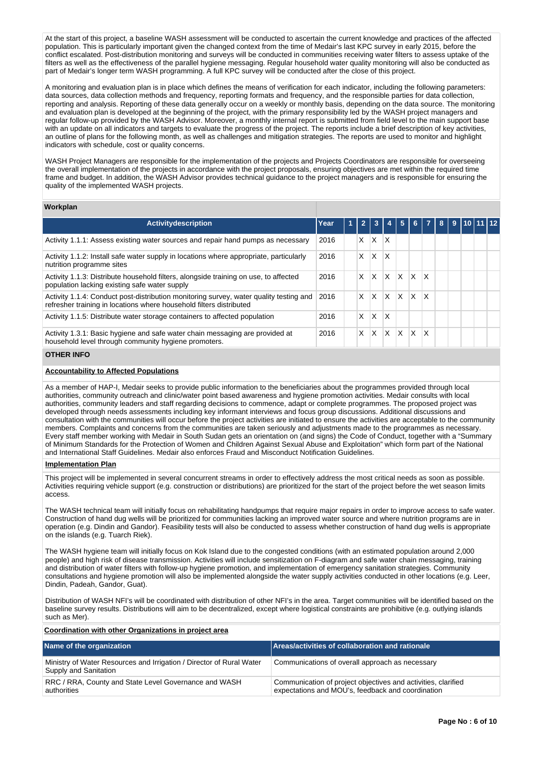At the start of this project, a baseline WASH assessment will be conducted to ascertain the current knowledge and practices of the affected population. This is particularly important given the changed context from the time of Medair's last KPC survey in early 2015, before the conflict escalated. Post-distribution monitoring and surveys will be conducted in communities receiving water filters to assess uptake of the filters as well as the effectiveness of the parallel hygiene messaging. Regular household water quality monitoring will also be conducted as part of Medair's longer term WASH programming. A full KPC survey will be conducted after the close of this project.

A monitoring and evaluation plan is in place which defines the means of verification for each indicator, including the following parameters: data sources, data collection methods and frequency, reporting formats and frequency, and the responsible parties for data collection, reporting and analysis. Reporting of these data generally occur on a weekly or monthly basis, depending on the data source. The monitoring and evaluation plan is developed at the beginning of the project, with the primary responsibility led by the WASH project managers and regular follow-up provided by the WASH Advisor. Moreover, a monthly internal report is submitted from field level to the main support base with an update on all indicators and targets to evaluate the progress of the project. The reports include a brief description of key activities, an outline of plans for the following month, as well as challenges and mitigation strategies. The reports are used to monitor and highlight indicators with schedule, cost or quality concerns.

WASH Project Managers are responsible for the implementation of the projects and Projects Coordinators are responsible for overseeing the overall implementation of the projects in accordance with the project proposals, ensuring objectives are met within the required time frame and budget. In addition, the WASH Advisor provides technical guidance to the project managers and is responsible for ensuring the quality of the implemented WASH projects.

#### **Workplan**

| <b>Activitydescription</b>                                                                                                                                    | Year | -1 | $\overline{2}$ |   |   | 5   | 6.           |                         | 8 | 9 | 110111112 |  |
|---------------------------------------------------------------------------------------------------------------------------------------------------------------|------|----|----------------|---|---|-----|--------------|-------------------------|---|---|-----------|--|
| Activity 1.1.1: Assess existing water sources and repair hand pumps as necessary                                                                              | 2016 |    | X              | X | X |     |              |                         |   |   |           |  |
| Activity 1.1.2: Install safe water supply in locations where appropriate, particularly<br>nutrition programme sites                                           | 2016 |    | X              | X | X |     |              |                         |   |   |           |  |
| Activity 1.1.3: Distribute household filters, alongside training on use, to affected<br>population lacking existing safe water supply                         | 2016 |    | X              | X | X | X   | <sup>X</sup> | $\mathsf{I} \mathsf{X}$ |   |   |           |  |
| Activity 1.1.4: Conduct post-distribution monitoring survey, water quality testing and<br>refresher training in locations where household filters distributed | 2016 |    | X              | X | X | ΙX. | ΙX.          | x                       |   |   |           |  |
| Activity 1.1.5: Distribute water storage containers to affected population                                                                                    | 2016 |    | x              | X | X |     |              |                         |   |   |           |  |
| Activity 1.3.1: Basic hygiene and safe water chain messaging are provided at<br>household level through community hygiene promoters.                          | 2016 |    | X              | X | X | X   | $\mathsf{x}$ | x                       |   |   |           |  |

# **OTHER INFO**

## **Accountability to Affected Populations**

As a member of HAP-I, Medair seeks to provide public information to the beneficiaries about the programmes provided through local authorities, community outreach and clinic/water point based awareness and hygiene promotion activities. Medair consults with local authorities, community leaders and staff regarding decisions to commence, adapt or complete programmes. The proposed project was developed through needs assessments including key informant interviews and focus group discussions. Additional discussions and consultation with the communities will occur before the project activities are initiated to ensure the activities are acceptable to the community members. Complaints and concerns from the communities are taken seriously and adjustments made to the programmes as necessary. Every staff member working with Medair in South Sudan gets an orientation on (and signs) the Code of Conduct, together with a "Summary of Minimum Standards for the Protection of Women and Children Against Sexual Abuse and Exploitation" which form part of the National and International Staff Guidelines. Medair also enforces Fraud and Misconduct Notification Guidelines.

## **Implementation Plan**

This project will be implemented in several concurrent streams in order to effectively address the most critical needs as soon as possible. Activities requiring vehicle support (e.g. construction or distributions) are prioritized for the start of the project before the wet season limits access.

The WASH technical team will initially focus on rehabilitating handpumps that require major repairs in order to improve access to safe water. Construction of hand dug wells will be prioritized for communities lacking an improved water source and where nutrition programs are in operation (e.g. Dindin and Gandor). Feasibility tests will also be conducted to assess whether construction of hand dug wells is appropriate on the islands (e.g. Tuarch Riek).

The WASH hygiene team will initially focus on Kok Island due to the congested conditions (with an estimated population around 2,000 people) and high risk of disease transmission. Activities will include sensitization on F-diagram and safe water chain messaging, training and distribution of water filters with follow-up hygiene promotion, and implementation of emergency sanitation strategies. Community consultations and hygiene promotion will also be implemented alongside the water supply activities conducted in other locations (e.g. Leer, Dindin, Padeah, Gandor, Guat).

Distribution of WASH NFI's will be coordinated with distribution of other NFI's in the area. Target communities will be identified based on the baseline survey results. Distributions will aim to be decentralized, except where logistical constraints are prohibitive (e.g. outlying islands such as Mer).

## **Coordination with other Organizations in project area**

| Name of the organization                                                                      | Areas/activities of collaboration and rationale                                                                    |
|-----------------------------------------------------------------------------------------------|--------------------------------------------------------------------------------------------------------------------|
| Ministry of Water Resources and Irrigation / Director of Rural Water<br>Supply and Sanitation | Communications of overall approach as necessary                                                                    |
| RRC / RRA, County and State Level Governance and WASH<br>authorities                          | Communication of project objectives and activities, clarified<br>expectations and MOU's, feedback and coordination |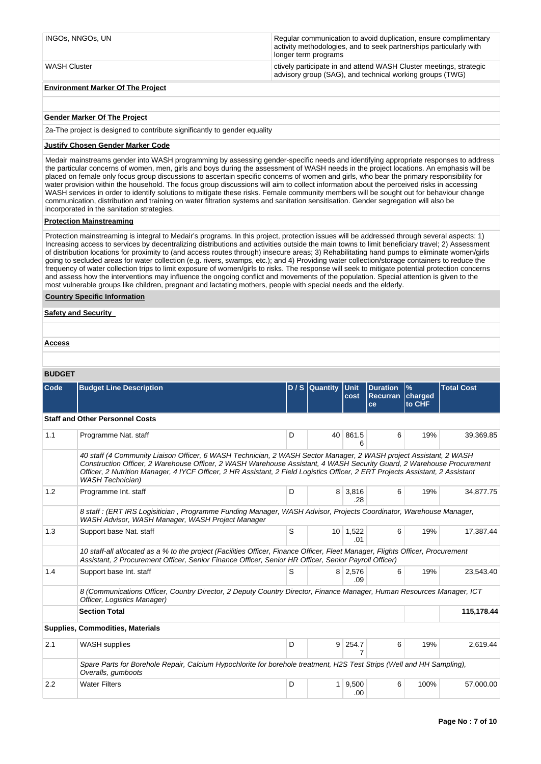| INGOs. NNGOs. UN                         | Regular communication to avoid duplication, ensure complimentary<br>activity methodologies, and to seek partnerships particularly with<br>longer term programs |
|------------------------------------------|----------------------------------------------------------------------------------------------------------------------------------------------------------------|
| WASH Cluster                             | ctively participate in and attend WASH Cluster meetings, strategic<br>advisory group (SAG), and technical working groups (TWG)                                 |
| <b>Environment Marker Of The Project</b> |                                                                                                                                                                |

# **Gender Marker Of The Project**

2a-The project is designed to contribute significantly to gender equality

# **Justify Chosen Gender Marker Code**

Medair mainstreams gender into WASH programming by assessing gender-specific needs and identifying appropriate responses to address the particular concerns of women, men, girls and boys during the assessment of WASH needs in the project locations. An emphasis will be placed on female only focus group discussions to ascertain specific concerns of women and girls, who bear the primary responsibility for water provision within the household. The focus group discussions will aim to collect information about the perceived risks in accessing WASH services in order to identify solutions to mitigate these risks. Female community members will be sought out for behaviour change communication, distribution and training on water filtration systems and sanitation sensitisation. Gender segregation will also be incorporated in the sanitation strategies.

## **Protection Mainstreaming**

Protection mainstreaming is integral to Medair's programs. In this project, protection issues will be addressed through several aspects: 1) Increasing access to services by decentralizing distributions and activities outside the main towns to limit beneficiary travel; 2) Assessment of distribution locations for proximity to (and access routes through) insecure areas; 3) Rehabilitating hand pumps to eliminate women/girls going to secluded areas for water collection (e.g. rivers, swamps, etc.); and 4) Providing water collection/storage containers to reduce the frequency of water collection trips to limit exposure of women/girls to risks. The response will seek to mitigate potential protection concerns and assess how the interventions may influence the ongoing conflict and movements of the population. Special attention is given to the most vulnerable groups like children, pregnant and lactating mothers, people with special needs and the elderly.

## **Country Specific Information**

| <b>Safety and Security</b> |  |  |
|----------------------------|--|--|
|                            |  |  |
| <b>Access</b>              |  |  |
|                            |  |  |

# **BUDGET**

| Code | <b>Budget Line Description</b>                                                                                                                                                                                                                                                                                                                                                                          |                                                                                                                       | D / S Quantity Unit | cost            | <b>Duration</b><br><b>Recurran</b><br>ce | $\frac{9}{6}$<br>charged<br>to CHF | <b>Total Cost</b> |  |  |
|------|---------------------------------------------------------------------------------------------------------------------------------------------------------------------------------------------------------------------------------------------------------------------------------------------------------------------------------------------------------------------------------------------------------|-----------------------------------------------------------------------------------------------------------------------|---------------------|-----------------|------------------------------------------|------------------------------------|-------------------|--|--|
|      | <b>Staff and Other Personnel Costs</b>                                                                                                                                                                                                                                                                                                                                                                  |                                                                                                                       |                     |                 |                                          |                                    |                   |  |  |
| 1.1  | Programme Nat. staff                                                                                                                                                                                                                                                                                                                                                                                    | D                                                                                                                     | 40                  | 861.5<br>6      | 6                                        | 19%                                | 39,369.85         |  |  |
|      | 40 staff (4 Community Liaison Officer, 6 WASH Technician, 2 WASH Sector Manager, 2 WASH project Assistant, 2 WASH<br>Construction Officer, 2 Warehouse Officer, 2 WASH Warehouse Assistant, 4 WASH Security Guard, 2 Warehouse Procurement<br>Officer, 2 Nutrition Manager, 4 IYCF Officer, 2 HR Assistant, 2 Field Logistics Officer, 2 ERT Projects Assistant, 2 Assistant<br><b>WASH Technician)</b> |                                                                                                                       |                     |                 |                                          |                                    |                   |  |  |
| 1.2  | Programme Int. staff                                                                                                                                                                                                                                                                                                                                                                                    | D                                                                                                                     | 8                   | 3,816<br>.28    | 6                                        | 19%                                | 34,877.75         |  |  |
|      | 8 staff : (ERT IRS Logisitician, Programme Funding Manager, WASH Advisor, Projects Coordinator, Warehouse Manager,<br>WASH Advisor, WASH Manager, WASH Project Manager                                                                                                                                                                                                                                  |                                                                                                                       |                     |                 |                                          |                                    |                   |  |  |
| 1.3  | Support base Nat. staff                                                                                                                                                                                                                                                                                                                                                                                 |                                                                                                                       |                     | 10 1,522<br>.01 | 6                                        | 19%                                | 17,387.44         |  |  |
|      | 10 staff-all allocated as a % to the project (Facilities Officer, Finance Officer, Fleet Manager, Flights Officer, Procurement<br>Assistant, 2 Procurement Officer, Senior Finance Officer, Senior HR Officer, Senior Payroll Officer)                                                                                                                                                                  |                                                                                                                       |                     |                 |                                          |                                    |                   |  |  |
| 1.4  | Support base Int. staff                                                                                                                                                                                                                                                                                                                                                                                 | S                                                                                                                     |                     | 8 2,576<br>.09  | 6                                        | 19%                                | 23.543.40         |  |  |
|      | Officer, Logistics Manager)                                                                                                                                                                                                                                                                                                                                                                             | 8 (Communications Officer, Country Director, 2 Deputy Country Director, Finance Manager, Human Resources Manager, ICT |                     |                 |                                          |                                    |                   |  |  |
|      | <b>Section Total</b>                                                                                                                                                                                                                                                                                                                                                                                    |                                                                                                                       |                     |                 |                                          |                                    | 115,178.44        |  |  |
|      | <b>Supplies, Commodities, Materials</b>                                                                                                                                                                                                                                                                                                                                                                 |                                                                                                                       |                     |                 |                                          |                                    |                   |  |  |
| 2.1  | <b>WASH</b> supplies                                                                                                                                                                                                                                                                                                                                                                                    | D                                                                                                                     | 9 <sup>1</sup>      | 254.7<br>7      | 6                                        | 19%                                | 2,619.44          |  |  |
|      | Spare Parts for Borehole Repair, Calcium Hypochlorite for borehole treatment, H2S Test Strips (Well and HH Sampling),<br>Overalls, gumboots                                                                                                                                                                                                                                                             |                                                                                                                       |                     |                 |                                          |                                    |                   |  |  |
| 2.2  | <b>Water Filters</b>                                                                                                                                                                                                                                                                                                                                                                                    | D                                                                                                                     | 1                   | 9,500<br>.00    | 6                                        | 100%                               | 57,000.00         |  |  |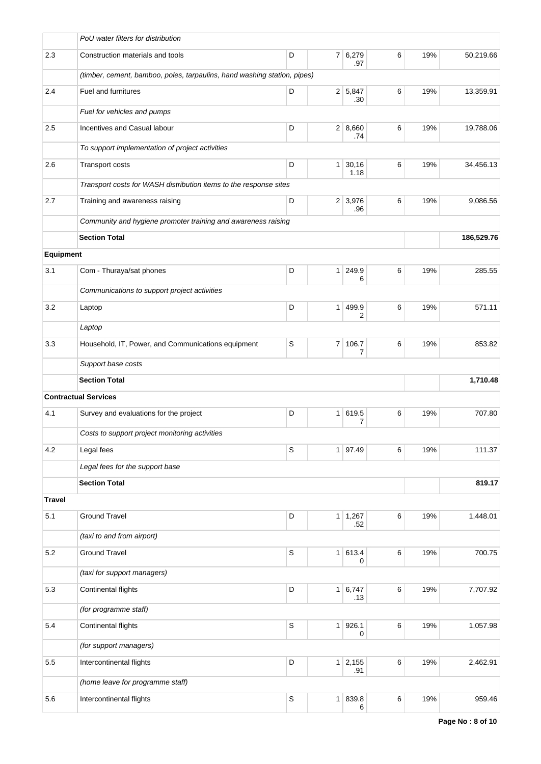|               | PoU water filters for distribution                                       |             |                |                       |         |     |            |
|---------------|--------------------------------------------------------------------------|-------------|----------------|-----------------------|---------|-----|------------|
| 2.3           | Construction materials and tools                                         | D           |                | 7 6,279<br>.97        | 6       | 19% | 50,219.66  |
|               | (timber, cement, bamboo, poles, tarpaulins, hand washing station, pipes) |             |                |                       |         |     |            |
| 2.4           | Fuel and furnitures                                                      | D           |                | 2 5,847<br>.30        | 6       | 19% | 13,359.91  |
|               | Fuel for vehicles and pumps                                              |             |                |                       |         |     |            |
| 2.5           | Incentives and Casual labour                                             | D           |                | 2   8,660<br>.74      | 6       | 19% | 19,788.06  |
|               | To support implementation of project activities                          |             |                |                       |         |     |            |
| 2.6           | Transport costs                                                          | D           |                | $1 \, 30,16$<br>1.18  | 6       | 19% | 34,456.13  |
|               | Transport costs for WASH distribution items to the response sites        |             |                |                       |         |     |            |
| 2.7           | Training and awareness raising                                           | D           |                | $2 \mid 3,976$<br>.96 | 6       | 19% | 9,086.56   |
|               | Community and hygiene promoter training and awareness raising            |             |                |                       |         |     |            |
|               | <b>Section Total</b>                                                     |             |                |                       |         |     | 186,529.76 |
| Equipment     |                                                                          |             |                |                       |         |     |            |
| 3.1           | Com - Thuraya/sat phones                                                 | D           | 1 <sup>1</sup> | 249.9<br>6            | 6       | 19% | 285.55     |
|               | Communications to support project activities                             |             |                |                       |         |     |            |
| 3.2           | Laptop                                                                   | D           | 1 <sup>1</sup> | 499.9<br>2            | 6       | 19% | 571.11     |
|               | Laptop                                                                   |             |                |                       |         |     |            |
| 3.3           | Household, IT, Power, and Communications equipment                       | S           | 7 <sup>1</sup> | 106.7<br>7            | 6       | 19% | 853.82     |
|               | Support base costs                                                       |             |                |                       |         |     |            |
|               | <b>Section Total</b>                                                     |             |                |                       |         |     | 1,710.48   |
|               | <b>Contractual Services</b>                                              |             |                |                       |         |     |            |
| 4.1           | Survey and evaluations for the project                                   | D           |                | 1 619.5<br>7          | 6       | 19% | 707.80     |
|               | Costs to support project monitoring activities                           |             |                |                       |         |     |            |
| 4.2           | Legal fees                                                               | $\mathbb S$ |                | 1 97.49               | 6       | 19% | 111.37     |
|               | Legal fees for the support base                                          |             |                |                       |         |     |            |
|               | <b>Section Total</b>                                                     |             |                |                       |         |     | 819.17     |
| <b>Travel</b> |                                                                          |             |                |                       |         |     |            |
| 5.1           | <b>Ground Travel</b>                                                     | D           |                | $1 \mid 1,267$<br>.52 | 6       | 19% | 1,448.01   |
|               | (taxi to and from airport)                                               |             |                |                       |         |     |            |
| 5.2           | <b>Ground Travel</b>                                                     | $\mathbb S$ |                | 1 613.4<br>0          | $\,6\,$ | 19% | 700.75     |
|               | (taxi for support managers)                                              |             |                |                       |         |     |            |
| 5.3           | Continental flights                                                      | D           |                | 1 6,747<br>.13        | 6       | 19% | 7,707.92   |
|               | (for programme staff)                                                    |             |                |                       |         |     |            |
| 5.4           | Continental flights                                                      | $\mathbb S$ |                | $1$ 926.1<br>0        | $\,6\,$ | 19% | 1,057.98   |
|               | (for support managers)                                                   |             |                |                       |         |     |            |
| 5.5           | Intercontinental flights                                                 | D           |                | $1 \mid 2,155$<br>.91 | $\,6\,$ | 19% | 2,462.91   |
|               | (home leave for programme staff)                                         |             |                |                       |         |     |            |
| 5.6           | Intercontinental flights                                                 | $\mathsf S$ |                | 1   839.8<br>6        | 6       | 19% | 959.46     |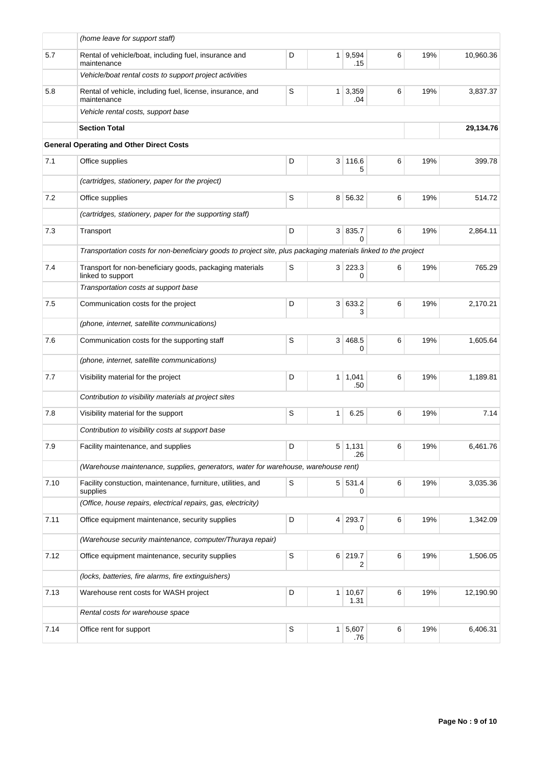|      | (home leave for support staff)                                                                                 |   |                |                           |   |     |           |
|------|----------------------------------------------------------------------------------------------------------------|---|----------------|---------------------------|---|-----|-----------|
| 5.7  | Rental of vehicle/boat, including fuel, insurance and<br>maintenance                                           | D |                | 1 9,594<br>.15            | 6 | 19% | 10,960.36 |
|      | Vehicle/boat rental costs to support project activities                                                        |   |                |                           |   |     |           |
| 5.8  | Rental of vehicle, including fuel, license, insurance, and<br>maintenance                                      | S | 1 <sup>1</sup> | 3,359<br>.04              | 6 | 19% | 3,837.37  |
|      | Vehicle rental costs, support base                                                                             |   |                |                           |   |     |           |
|      | <b>Section Total</b>                                                                                           |   |                |                           |   |     | 29,134.76 |
|      | <b>General Operating and Other Direct Costs</b>                                                                |   |                |                           |   |     |           |
| 7.1  | Office supplies                                                                                                | D | 3 <sup>1</sup> | 116.6<br>5                | 6 | 19% | 399.78    |
|      | (cartridges, stationery, paper for the project)                                                                |   |                |                           |   |     |           |
| 7.2  | Office supplies                                                                                                | S |                | 8 56.32                   | 6 | 19% | 514.72    |
|      | (cartridges, stationery, paper for the supporting staff)                                                       |   |                |                           |   |     |           |
| 7.3  | Transport                                                                                                      | D |                | 3 835.7<br>$\Omega$       | 6 | 19% | 2,864.11  |
|      | Transportation costs for non-beneficiary goods to project site, plus packaging materials linked to the project |   |                |                           |   |     |           |
| 7.4  | Transport for non-beneficiary goods, packaging materials<br>linked to support                                  | S |                | 3 223.3<br>0              | 6 | 19% | 765.29    |
|      | Transportation costs at support base                                                                           |   |                |                           |   |     |           |
| 7.5  | Communication costs for the project                                                                            | D |                | 3 633.2<br>3              | 6 | 19% | 2,170.21  |
|      | (phone, internet, satellite communications)                                                                    |   |                |                           |   |     |           |
| 7.6  | Communication costs for the supporting staff                                                                   | S | 3 <sup>1</sup> | 468.5<br>0                | 6 | 19% | 1,605.64  |
|      | (phone, internet, satellite communications)                                                                    |   |                |                           |   |     |           |
| 7.7  | Visibility material for the project                                                                            | D |                | $1 \mid 1,041$<br>.50     | 6 | 19% | 1,189.81  |
|      | Contribution to visibility materials at project sites                                                          |   |                |                           |   |     |           |
| 7.8  | Visibility material for the support                                                                            | S | 1              | 6.25                      | 6 | 19% | 7.14      |
|      | Contribution to visibility costs at support base                                                               |   |                |                           |   |     |           |
| 7.9  | Facility maintenance, and supplies                                                                             | D |                | 5 1,131<br>.26            | 6 | 19% | 6,461.76  |
|      | (Warehouse maintenance, supplies, generators, water for warehouse, warehouse rent)                             |   |                |                           |   |     |           |
| 7.10 | Facility constuction, maintenance, furniture, utilities, and<br>supplies                                       | S |                | 5 531.4<br>0              | 6 | 19% | 3,035.36  |
|      | (Office, house repairs, electrical repairs, gas, electricity)                                                  |   |                |                           |   |     |           |
| 7.11 | Office equipment maintenance, security supplies                                                                | D |                | 4 293.7<br>0              | 6 | 19% | 1,342.09  |
|      | (Warehouse security maintenance, computer/Thuraya repair)                                                      |   |                |                           |   |     |           |
| 7.12 | Office equipment maintenance, security supplies                                                                | S |                | 6 219.7<br>$\overline{2}$ | 6 | 19% | 1,506.05  |
|      | (locks, batteries, fire alarms, fire extinguishers)                                                            |   |                |                           |   |     |           |
| 7.13 | Warehouse rent costs for WASH project                                                                          | D | 1 <sup>1</sup> | 10,67<br>1.31             | 6 | 19% | 12,190.90 |
|      | Rental costs for warehouse space                                                                               |   |                |                           |   |     |           |
| 7.14 | Office rent for support                                                                                        | S |                | $1 \mid 5,607$<br>.76     | 6 | 19% | 6,406.31  |